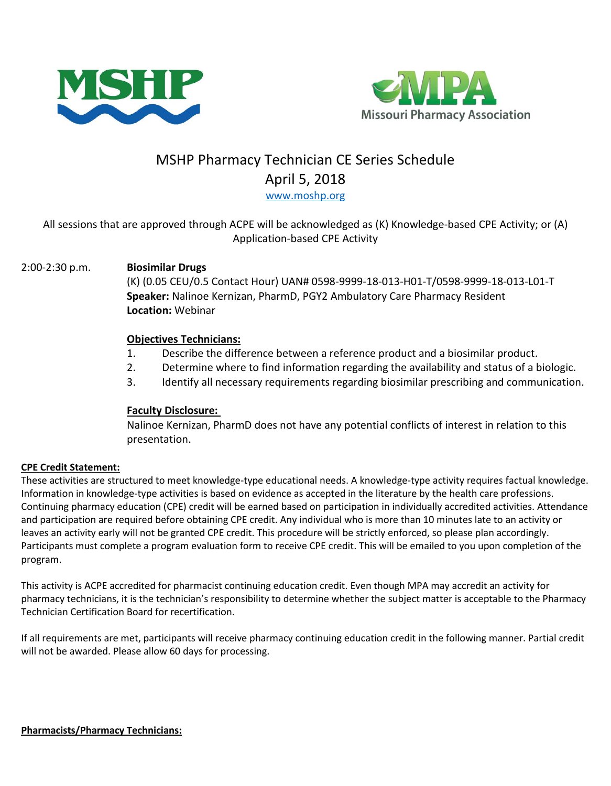



# MSHP Pharmacy Technician CE Series Schedule April 5, 2018

[www.moshp.org](http://www.moshp.org/)

# All sessions that are approved through ACPE will be acknowledged as (K) Knowledge-based CPE Activity; or (A) Application-based CPE Activity

## 2:00-2:30 p.m. **Biosimilar Drugs**

(K) (0.05 CEU/0.5 Contact Hour) UAN# 0598-9999-18-013-H01-T/0598-9999-18-013-L01-T **Speaker:** Nalinoe Kernizan, PharmD, PGY2 Ambulatory Care Pharmacy Resident **Location:** Webinar

### **Objectives Technicians:**

- 1. Describe the difference between a reference product and a biosimilar product.
- 2. Determine where to find information regarding the availability and status of a biologic.
- 3. Identify all necessary requirements regarding biosimilar prescribing and communication.

#### **Faculty Disclosure:**

Nalinoe Kernizan, PharmD does not have any potential conflicts of interest in relation to this presentation.

#### **CPE Credit Statement:**

These activities are structured to meet knowledge-type educational needs. A knowledge-type activity requires factual knowledge. Information in knowledge-type activities is based on evidence as accepted in the literature by the health care professions. Continuing pharmacy education (CPE) credit will be earned based on participation in individually accredited activities. Attendance and participation are required before obtaining CPE credit. Any individual who is more than 10 minutes late to an activity or leaves an activity early will not be granted CPE credit. This procedure will be strictly enforced, so please plan accordingly. Participants must complete a program evaluation form to receive CPE credit. This will be emailed to you upon completion of the program.

This activity is ACPE accredited for pharmacist continuing education credit. Even though MPA may accredit an activity for pharmacy technicians, it is the technician's responsibility to determine whether the subject matter is acceptable to the Pharmacy Technician Certification Board for recertification.

If all requirements are met, participants will receive pharmacy continuing education credit in the following manner. Partial credit will not be awarded. Please allow 60 days for processing.